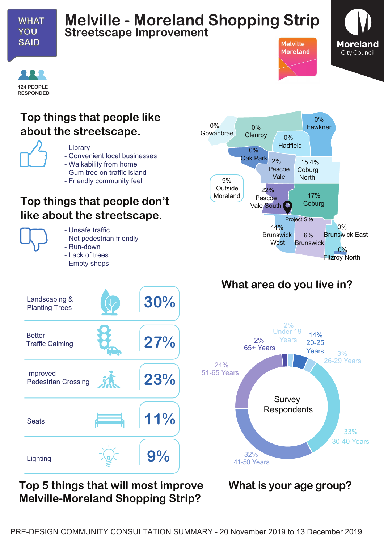

## **Melville - Moreland Shopping Strip Streetscape Improvement**





#### **Top things that people like about the streetscape.**



- Library
- Convenient local businesses
- Walkability from home
- Gum tree on traffic island
- Friendly community feel

### **Top things that people don't like about the streetscape.**



- Unsafe traffic - Not pedestrian friendly

- Run-down
- Lack of trees
- Empty shops



**Melville** 

**Moreland** 

# **What area do you live in?**



**Top 5 things that will most improve What is your age group? Melville-Moreland Shopping Strip?**